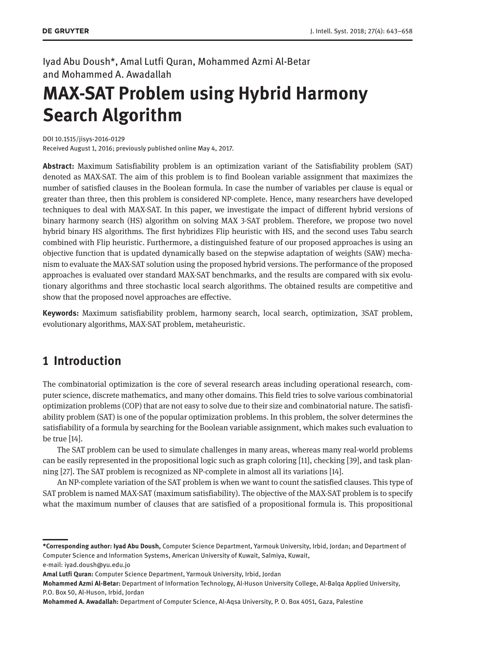## Iyad Abu Doush\*, Amal Lutfi Quran, Mohammed Azmi Al-Betar and Mohammed A. Awadallah

# **MAX-SAT Problem using Hybrid Harmony Search Algorithm**

DOI 10.1515/jisys-2016-0129

Received August 1, 2016; previously published online May 4, 2017.

**Abstract:** Maximum Satisfiability problem is an optimization variant of the Satisfiability problem (SAT) denoted as MAX-SAT. The aim of this problem is to find Boolean variable assignment that maximizes the number of satisfied clauses in the Boolean formula. In case the number of variables per clause is equal or greater than three, then this problem is considered NP-complete. Hence, many researchers have developed techniques to deal with MAX-SAT. In this paper, we investigate the impact of different hybrid versions of binary harmony search (HS) algorithm on solving MAX 3-SAT problem. Therefore, we propose two novel hybrid binary HS algorithms. The first hybridizes Flip heuristic with HS, and the second uses Tabu search combined with Flip heuristic. Furthermore, a distinguished feature of our proposed approaches is using an objective function that is updated dynamically based on the stepwise adaptation of weights (SAW) mechanism to evaluate the MAX-SAT solution using the proposed hybrid versions. The performance of the proposed approaches is evaluated over standard MAX-SAT benchmarks, and the results are compared with six evolutionary algorithms and three stochastic local search algorithms. The obtained results are competitive and show that the proposed novel approaches are effective.

**Keywords:** Maximum satisfiability problem, harmony search, local search, optimization, 3SAT problem, evolutionary algorithms, MAX-SAT problem, metaheuristic.

### **1 Introduction**

The combinatorial optimization is the core of several research areas including operational research, computer science, discrete mathematics, and many other domains. This field tries to solve various combinatorial optimization problems (COP) that are not easy to solve due to their size and combinatorial nature. The satisfiability problem (SAT) is one of the popular optimization problems. In this problem, the solver determines the satisfiability of a formula by searching for the Boolean variable assignment, which makes such evaluation to be true [14].

The SAT problem can be used to simulate challenges in many areas, whereas many real-world problems can be easily represented in the propositional logic such as graph coloring [11], checking [39], and task planning [27]. The SAT problem is recognized as NP-complete in almost all its variations [14].

An NP-complete variation of the SAT problem is when we want to count the satisfied clauses. This type of SAT problem is named MAX-SAT (maximum satisfiability). The objective of the MAX-SAT problem is to specify what the maximum number of clauses that are satisfied of a propositional formula is. This propositional

e-mail: iyad.doush@yu.edu.jo

**<sup>\*</sup>Corresponding author: Iyad Abu Doush,** Computer Science Department, Yarmouk University, Irbid, Jordan; and Department of Computer Science and Information Systems, American University of Kuwait, Salmiya, Kuwait,

**Amal Lutfi Quran:** Computer Science Department, Yarmouk University, Irbid, Jordan

**Mohammed Azmi Al-Betar:** Department of Information Technology, Al-Huson University College, Al-Balqa Applied University, P.O. Box 50, Al-Huson, Irbid, Jordan

**Mohammed A. Awadallah:** Department of Computer Science, Al-Aqsa University, P. O. Box 4051, Gaza, Palestine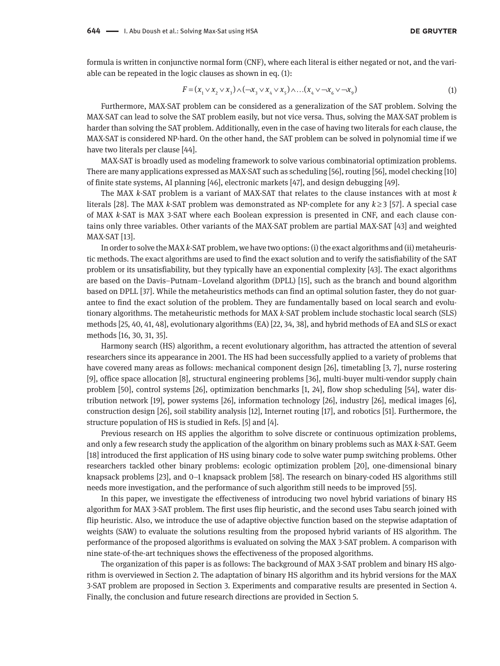formula is written in conjunctive normal form (CNF), where each literal is either negated or not, and the variable can be repeated in the logic clauses as shown in eq. (1):

$$
F = (x_1 \vee x_2 \vee x_3) \wedge (\neg x_3 \vee x_4 \vee x_5) \wedge \dots (x_4 \vee \neg x_6 \vee \neg x_9)
$$
\n
$$
\tag{1}
$$

Furthermore, MAX-SAT problem can be considered as a generalization of the SAT problem. Solving the MAX-SAT can lead to solve the SAT problem easily, but not vice versa. Thus, solving the MAX-SAT problem is harder than solving the SAT problem. Additionally, even in the case of having two literals for each clause, the MAX-SAT is considered NP-hard. On the other hand, the SAT problem can be solved in polynomial time if we have two literals per clause [44].

MAX-SAT is broadly used as modeling framework to solve various combinatorial optimization problems. There are many applications expressed as MAX-SAT such as scheduling [56], routing [56], model checking [10] of finite state systems, AI planning [46], electronic markets [47], and design debugging [49].

The MAX *k*-SAT problem is a variant of MAX-SAT that relates to the clause instances with at most *k* literals [28]. The MAX *k*-SAT problem was demonstrated as NP-complete for any *k* ≥ 3 [57]. A special case of MAX *k*-SAT is MAX 3-SAT where each Boolean expression is presented in CNF, and each clause contains only three variables. Other variants of the MAX-SAT problem are partial MAX-SAT [43] and weighted MAX-SAT [13].

In order to solve the MAX *k*-SAT problem, we have two options: (i) the exact algorithms and (ii) metaheuristic methods. The exact algorithms are used to find the exact solution and to verify the satisfiability of the SAT problem or its unsatisfiability, but they typically have an exponential complexity [43]. The exact algorithms are based on the Davis–Putnam–Loveland algorithm (DPLL) [15], such as the branch and bound algorithm based on DPLL [37]. While the metaheuristics methods can find an optimal solution faster, they do not guarantee to find the exact solution of the problem. They are fundamentally based on local search and evolutionary algorithms. The metaheuristic methods for MAX *k*-SAT problem include stochastic local search (SLS) methods [25, 40, 41, 48], evolutionary algorithms (EA) [22, 34, 38], and hybrid methods of EA and SLS or exact methods [16, 30, 31, 35].

Harmony search (HS) algorithm, a recent evolutionary algorithm, has attracted the attention of several researchers since its appearance in 2001. The HS had been successfully applied to a variety of problems that have covered many areas as follows: mechanical component design [26], timetabling [3, 7], nurse rostering [9], office space allocation [8], structural engineering problems [36], multi-buyer multi-vendor supply chain problem [50], control systems [26], optimization benchmarks [1, 24], flow shop scheduling [54], water distribution network [19], power systems [26], information technology [26], industry [26], medical images [6], construction design [26], soil stability analysis [12], Internet routing [17], and robotics [51]. Furthermore, the structure population of HS is studied in Refs. [5] and [4].

Previous research on HS applies the algorithm to solve discrete or continuous optimization problems, and only a few research study the application of the algorithm on binary problems such as MAX *k*-SAT. Geem [18] introduced the first application of HS using binary code to solve water pump switching problems. Other researchers tackled other binary problems: ecologic optimization problem [20], one-dimensional binary knapsack problems [23], and 0–1 knapsack problem [58]. The research on binary-coded HS algorithms still needs more investigation, and the performance of such algorithm still needs to be improved [55].

In this paper, we investigate the effectiveness of introducing two novel hybrid variations of binary HS algorithm for MAX 3-SAT problem. The first uses flip heuristic, and the second uses Tabu search joined with flip heuristic. Also, we introduce the use of adaptive objective function based on the stepwise adaptation of weights (SAW) to evaluate the solutions resulting from the proposed hybrid variants of HS algorithm. The performance of the proposed algorithms is evaluated on solving the MAX 3-SAT problem. A comparison with nine state-of-the-art techniques shows the effectiveness of the proposed algorithms.

The organization of this paper is as follows: The background of MAX 3-SAT problem and binary HS algorithm is overviewed in Section 2. The adaptation of binary HS algorithm and its hybrid versions for the MAX 3-SAT problem are proposed in Section 3. Experiments and comparative results are presented in Section 4. Finally, the conclusion and future research directions are provided in Section 5.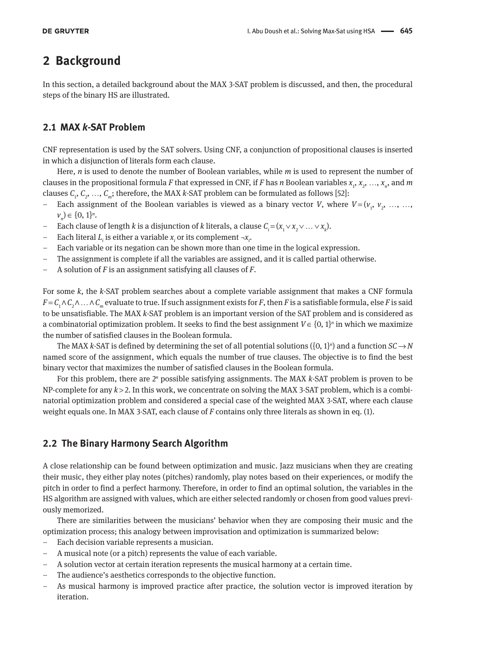### **2 Background**

In this section, a detailed background about the MAX 3-SAT problem is discussed, and then, the procedural steps of the binary HS are illustrated.

### **2.1 MAX** *k***-SAT Problem**

CNF representation is used by the SAT solvers. Using CNF, a conjunction of propositional clauses is inserted in which a disjunction of literals form each clause.

Here, *n* is used to denote the number of Boolean variables, while *m* is used to represent the number of clauses in the propositional formula *F* that expressed in CNF, if *F* has *n* Boolean variables  $x_1, x_2, ..., x_n$ , and *m* clauses  $C_1, C_2, ..., C_m$ ; therefore, the MAX *k*-SAT problem can be formulated as follows [52]:

- Each assignment of the Boolean variables is viewed as a binary vector *V*, where  $V = (v_1, v_2, ..., ...,$ *v*<sub>*n*</sub></sub> $)$  ∈ {0, 1}<sup>*n*</sup>.
- − Each clause of length *k* is a disjunction of *k* literals, a clause  $C_i = (x_1 \lor x_2 \lor ... \lor x_k)$ .
- Each literal  $L_i$  is either a variable  $x_i$  or its complement  $\neg x_i$ .
- Each variable or its negation can be shown more than one time in the logical expression.
- The assignment is complete if all the variables are assigned, and it is called partial otherwise.
- A solution of *F* is an assignment satisfying all clauses of *F*.

For some *k*, the *k*-SAT problem searches about a complete variable assignment that makes a CNF formula *<sup>F</sup>* <sup>=</sup> *<sup>C</sup>*1∧*C*2∧…∧*C<sup>m</sup>* evaluate to true. If such assignment exists for *F*, then *F* is a satisfiable formula, else *F* is said to be unsatisfiable. The MAX *k*-SAT problem is an important version of the SAT problem and is considered as a combinatorial optimization problem. It seeks to find the best assignment  $V \in \{0, 1\}^n$  in which we maximize the number of satisfied clauses in the Boolean formula.

The MAX *k*-SAT is defined by determining the set of all potential solutions  $(\{0, 1\}^n)$  and a function  $SC \to N$ named score of the assignment, which equals the number of true clauses. The objective is to find the best binary vector that maximizes the number of satisfied clauses in the Boolean formula.

For this problem, there are 2<sup>n</sup> possible satisfying assignments. The MAX *k*-SAT problem is proven to be NP-complete for any *k* > 2. In this work, we concentrate on solving the MAX 3-SAT problem, which is a combinatorial optimization problem and considered a special case of the weighted MAX 3-SAT, where each clause weight equals one. In MAX 3-SAT, each clause of *F* contains only three literals as shown in eq. (1).

### **2.2 The Binary Harmony Search Algorithm**

A close relationship can be found between optimization and music. Jazz musicians when they are creating their music, they either play notes (pitches) randomly, play notes based on their experiences, or modify the pitch in order to find a perfect harmony. Therefore, in order to find an optimal solution, the variables in the HS algorithm are assigned with values, which are either selected randomly or chosen from good values previously memorized.

There are similarities between the musicians' behavior when they are composing their music and the optimization process; this analogy between improvisation and optimization is summarized below:

- Each decision variable represents a musician.
- A musical note (or a pitch) represents the value of each variable.
- A solution vector at certain iteration represents the musical harmony at a certain time.
- The audience's aesthetics corresponds to the objective function.
- As musical harmony is improved practice after practice, the solution vector is improved iteration by iteration.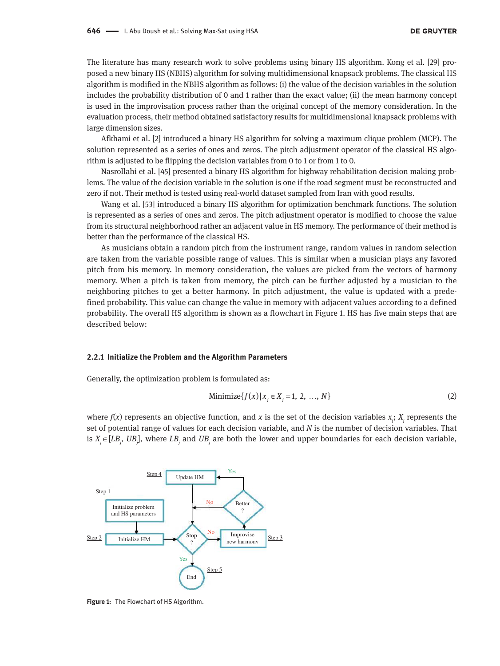The literature has many research work to solve problems using binary HS algorithm. Kong et al. [29] proposed a new binary HS (NBHS) algorithm for solving multidimensional knapsack problems. The classical HS algorithm is modified in the NBHS algorithm as follows: (i) the value of the decision variables in the solution includes the probability distribution of 0 and 1 rather than the exact value; (ii) the mean harmony concept is used in the improvisation process rather than the original concept of the memory consideration. In the evaluation process, their method obtained satisfactory results for multidimensional knapsack problems with large dimension sizes.

Afkhami et al. [2] introduced a binary HS algorithm for solving a maximum clique problem (MCP). The solution represented as a series of ones and zeros. The pitch adjustment operator of the classical HS algorithm is adjusted to be flipping the decision variables from 0 to 1 or from 1 to 0.

Nasrollahi et al. [45] presented a binary HS algorithm for highway rehabilitation decision making problems. The value of the decision variable in the solution is one if the road segment must be reconstructed and zero if not. Their method is tested using real-world dataset sampled from Iran with good results.

Wang et al. [53] introduced a binary HS algorithm for optimization benchmark functions. The solution is represented as a series of ones and zeros. The pitch adjustment operator is modified to choose the value from its structural neighborhood rather an adjacent value in HS memory. The performance of their method is better than the performance of the classical HS.

As musicians obtain a random pitch from the instrument range, random values in random selection are taken from the variable possible range of values. This is similar when a musician plays any favored pitch from his memory. In memory consideration, the values are picked from the vectors of harmony memory. When a pitch is taken from memory, the pitch can be further adjusted by a musician to the neighboring pitches to get a better harmony. In pitch adjustment, the value is updated with a predefined probability. This value can change the value in memory with adjacent values according to a defined probability. The overall HS algorithm is shown as a flowchart in Figure 1. HS has five main steps that are described below:

#### **2.2.1 Initialize the Problem and the Algorithm Parameters**

Generally, the optimization problem is formulated as:

Minimize{
$$
f(x) | x_j \in X_j = 1, 2, ..., N
$$
} (2)

where  $f(x)$  represents an objective function, and *x* is the set of the decision variables  $x_j$ ;  $X_j$  represents the set of potential range of values for each decision variable, and *N* is the number of decision variables. That is  $X_j$  ∈ [ $LB_j$ ,  $UB_j$ ], where  $LB_j$  and  $UB_j$  are both the lower and upper boundaries for each decision variable,



**Figure 1:** The Flowchart of HS Algorithm.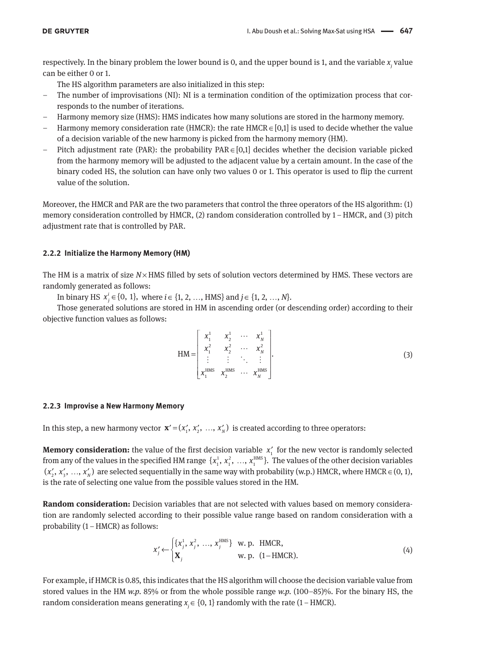respectively. In the binary problem the lower bound is 0, and the upper bound is 1, and the variable *x<sup>j</sup>* value can be either 0 or 1.

The HS algorithm parameters are also initialized in this step:

- The number of improvisations (NI): NI is a termination condition of the optimization process that corresponds to the number of iterations.
- Harmony memory size (HMS): HMS indicates how many solutions are stored in the harmony memory.
- Harmony memory consideration rate (HMCR): the rate HMCR $\in$  [0,1] is used to decide whether the value of a decision variable of the new harmony is picked from the harmony memory (HM).
- Pitch adjustment rate (PAR): the probability PAR $\in$  [0,1] decides whether the decision variable picked from the harmony memory will be adjusted to the adjacent value by a certain amount. In the case of the binary coded HS, the solution can have only two values 0 or 1. This operator is used to flip the current value of the solution.

Moreover, the HMCR and PAR are the two parameters that control the three operators of the HS algorithm: (1) memory consideration controlled by HMCR, (2) random consideration controlled by 1 − HMCR, and (3) pitch adjustment rate that is controlled by PAR.

#### **2.2.2 Initialize the Harmony Memory (HM)**

The HM is a matrix of size *N*× HMS filled by sets of solution vectors determined by HMS. These vectors are randomly generated as follows:

*In binary HS*  $x_j^i$  ∈ {0, 1}, where *i* ∈ {1, 2, …, *HMS*} and *j* ∈ {1, 2, …, *N*}.

Those generated solutions are stored in HM in ascending order (or descending order) according to their objective function values as follows:

$$
HM = \begin{bmatrix} x_1^1 & x_2^1 & \cdots & x_N^1 \\ x_1^2 & x_2^2 & \cdots & x_N^2 \\ \vdots & \vdots & \ddots & \vdots \\ x_1^{\text{HMS}} & x_2^{\text{HMS}} & \cdots & x_N^{\text{HMS}} \end{bmatrix} .
$$
 (3)

#### **2.2.3 Improvise a New Harmony Memory**

In this step, a new harmony vector  $\mathbf{x}' = (x'_1, x'_2, ..., x'_N)$  is created according to three operators:

**Memory consideration:** the value of the first decision variable  $x'_{1}$  for the new vector is randomly selected from any of the values in the specified HM range  $\{x_1^1, x_1^2, ..., x_1^{\text{HMS}}\}$ . The values of the other decision variables  $(x'_2, x'_3, ..., x'_N)$  are selected sequentially in the same way with probability (w.p.) HMCR, where HMCR $\in (0, 1)$ , is the rate of selecting one value from the possible values stored in the HM.

**Random consideration:** Decision variables that are not selected with values based on memory consideration are randomly selected according to their possible value range based on random consideration with a probability (1 − HMCR) as follows:

$$
x'_{j} \leftarrow \begin{cases} \{x_{j}^{1}, x_{j}^{2}, \dots, x_{j}^{\text{HMS}}\} & \text{w.p. HMCR,} \\ \mathbf{X}_{j} & \text{w.p. (1-HMCR).} \end{cases} \tag{4}
$$

For example, if HMCR is 0.85, this indicates that the HS algorithm will choose the decision variable value from stored values in the HM *w.p.* 85% or from the whole possible range *w.p.* (100–85)%. For the binary HS, the random consideration means generating *x<sup>j</sup>* <sup>∈</sup> {0, 1} randomly with the rate (1 − HMCR)*.*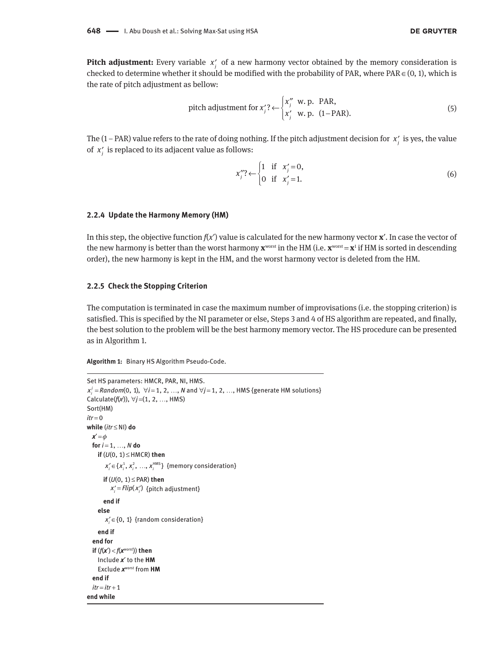**Pitch adjustment:** Every variable  $x'_{j}$  of a new harmony vector obtained by the memory consideration is checked to determine whether it should be modified with the probability of PAR, where  $PAR \in (0, 1)$ , which is the rate of pitch adjustment as bellow:

pitch adjustment for 
$$
x'_j
$$
?  $\leftarrow \begin{cases} x''_j & \text{w. p. } \text{PAR,} \\ x'_j & \text{w. p. } \text{ (1-PAR).} \end{cases}$  (5)

The (1 − PAR) value refers to the rate of doing nothing. If the pitch adjustment decision for *x*<sup>'</sup>, is yes, the value of  $x'_j$  is replaced to its adjacent value as follows:

$$
x_j''? \leftarrow \begin{cases} 1 & \text{if } x_j' = 0, \\ 0 & \text{if } x_j' = 1. \end{cases}
$$
 (6)

#### **2.2.4 Update the Harmony Memory (HM)**

In this step, the objective function  $f(x')$  value is calculated for the new harmony vector  $x'$ . In case the vector of the new harmony is better than the worst harmony  $x^{worst}$  in the HM (i.e.  $x^{worst} = x^1$  if HM is sorted in descending order), the new harmony is kept in the HM, and the worst harmony vector is deleted from the HM.

#### **2.2.5 Check the Stopping Criterion**

The computation is terminated in case the maximum number of improvisations (i.e. the stopping criterion) is satisfied. This is specified by the NI parameter or else, Steps 3 and 4 of HS algorithm are repeated, and finally, the best solution to the problem will be the best harmony memory vector. The HS procedure can be presented as in Algorithm 1.

#### **Algorithm 1:** Binary HS Algorithm Pseudo-Code.

```
Set HS parameters: HMCR, PAR, NI, HMS.
x_i^j = Random(0, 1), \forall i = 1, 2, ..., N and \forall j = 1, 2, ..., HMS {generate HM solutions}
Calculate(f(x
j
)), ∀j =(1, 2, …, HMS) 
Sort(HM)
itr = 0while (itr ≤ NI) do
 x' = \phi
   if (U(0, 1) \leq HMCR) then
x'_i \in \{x_i^1, x_i^2, ..., x_i^{\text{HMS}}\} {memory consideration}
      if (U(0, 1) \leq PAR) then
         x'_{i} = Flip(x'_{i}) {pitch adjustment}
         end if
      else
x'_i \in \{0, 1\} {random consideration}
      end if
  end for
  if (f(x′) < f(x
worst)) then
     Include x′ to the HM
  Exclude x
worst from HM
 end if
 itr = 1end while
```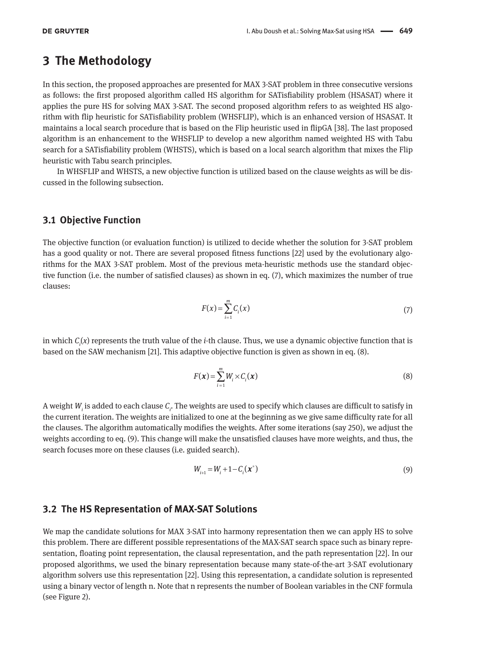### **3 The Methodology**

In this section, the proposed approaches are presented for MAX 3-SAT problem in three consecutive versions as follows: the first proposed algorithm called HS algorithm for SATisfiability problem (HSASAT) where it applies the pure HS for solving MAX 3-SAT. The second proposed algorithm refers to as weighted HS algorithm with flip heuristic for SATisfiability problem (WHSFLIP), which is an enhanced version of HSASAT. It maintains a local search procedure that is based on the Flip heuristic used in flipGA [38]. The last proposed algorithm is an enhancement to the WHSFLIP to develop a new algorithm named weighted HS with Tabu search for a SATisfiability problem (WHSTS), which is based on a local search algorithm that mixes the Flip heuristic with Tabu search principles.

In WHSFLIP and WHSTS, a new objective function is utilized based on the clause weights as will be discussed in the following subsection.

#### **3.1 Objective Function**

The objective function (or evaluation function) is utilized to decide whether the solution for 3-SAT problem has a good quality or not. There are several proposed fitness functions [22] used by the evolutionary algorithms for the MAX 3-SAT problem. Most of the previous meta-heuristic methods use the standard objective function (i.e. the number of satisfied clauses) as shown in eq. (7), which maximizes the number of true clauses:

$$
F(x) = \sum_{i=1}^{m} C_i(x)
$$
 (7)

in which *C<sup>i</sup>* (*x*) represents the truth value of the *i*-th clause. Thus, we use a dynamic objective function that is based on the SAW mechanism [21]. This adaptive objective function is given as shown in eq. (8).

$$
F(\mathbf{x}) = \sum_{i=1}^{m} W_i \times C_i(\mathbf{x})
$$
\n(8)

A weight  $W_i$  is added to each clause  $\mathcal{C}_i$ . The weights are used to specify which clauses are difficult to satisfy in the current iteration. The weights are initialized to one at the beginning as we give same difficulty rate for all the clauses. The algorithm automatically modifies the weights. After some iterations (say 250), we adjust the weights according to eq. (9). This change will make the unsatisfied clauses have more weights, and thus, the search focuses more on these clauses (i.e. guided search).

$$
W_{i+1} = W_i + 1 - C_i(\mathbf{x}^*)
$$
\n(9)

#### **3.2 The HS Representation of MAX-SAT Solutions**

We map the candidate solutions for MAX 3-SAT into harmony representation then we can apply HS to solve this problem. There are different possible representations of the MAX-SAT search space such as binary representation, floating point representation, the clausal representation, and the path representation [22]. In our proposed algorithms, we used the binary representation because many state-of-the-art 3-SAT evolutionary algorithm solvers use this representation [22]. Using this representation, a candidate solution is represented using a binary vector of length n. Note that n represents the number of Boolean variables in the CNF formula (see Figure 2).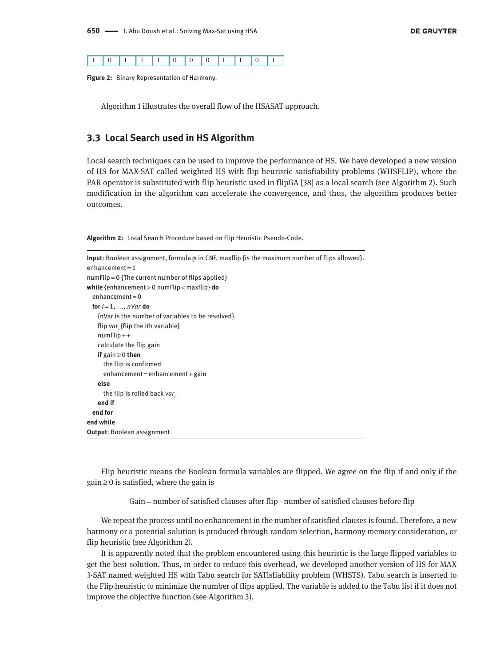|  |  | 1 0 1 1 1 0 0 0 1 1 0 1 |  |  |  |  |  |  |  |
|--|--|-------------------------|--|--|--|--|--|--|--|
|--|--|-------------------------|--|--|--|--|--|--|--|

**Figure 2:** Binary Representation of Harmony.

Algorithm 1 illustrates the overall flow of the HSASAT approach.

### **3.3 Local Search used in HS Algorithm**

Local search techniques can be used to improve the performance of HS. We have developed a new version of HS for MAX-SAT called weighted HS with flip heuristic satisfiability problems (WHSFLIP), where the PAR operator is substituted with flip heuristic used in flipGA [38] as a local search (see Algorithm 2). Such modification in the algorithm can accelerate the convergence, and thus, the algorithm produces better outcomes.

**Algorithm 2:** Local Search Procedure based on Flip Heuristic Pseudo-Code.

```
Input: Boolean assignment, formula \phi in CNF, maxflip {is the maximum number of flips allowed}.
enhancement = 1
numFlip= 0 {The current number of flips applied}
while {enhancement > 0 numFlip < maxflip} do
  enhancement=0
 for i = 1, …, nVar do
     {nVar is the number of variables to be resolved}
  flip vari
 {flip the ith variable}
   numflip++  calculate the flip gain
     if gain ≥ 0 then
        the flip is confirmed
        enhancement = enhancement + gain
      else
        the flip is rolled back vari
      end if
  end for
end while
Output: Boolean assignment
```
Flip heuristic means the Boolean formula variables are flipped. We agree on the flip if and only if the  $gain \geq 0$  is satisfied, where the gain is

Gain = number of satisfied clauses after flip - number of satisfied clauses before flip

We repeat the process until no enhancement in the number of satisfied clauses is found. Therefore, a new harmony or a potential solution is produced through random selection, harmony memory consideration, or flip heuristic (see Algorithm 2).

It is apparently noted that the problem encountered using this heuristic is the large flipped variables to get the best solution. Thus, in order to reduce this overhead, we developed another version of HS for MAX 3-SAT named weighted HS with Tabu search for SATisfiability problem (WHSTS). Tabu search is inserted to the Flip heuristic to minimize the number of flips applied. The variable is added to the Tabu list if it does not improve the objective function (see Algorithm 3).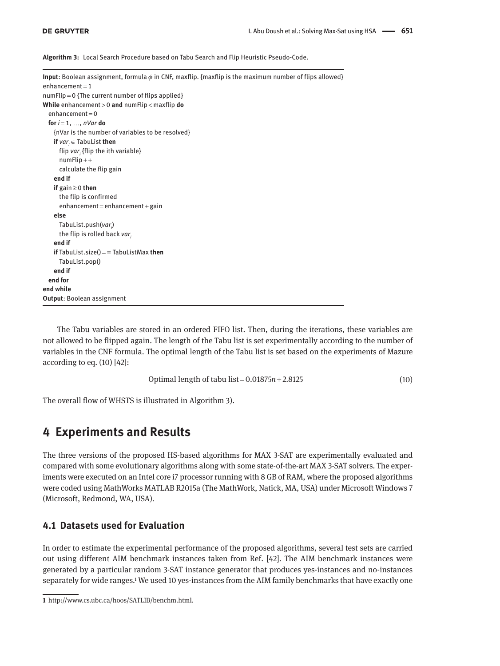**Algorithm 3:** Local Search Procedure based on Tabu Search and Flip Heuristic Pseudo-Code.

| <b>Input</b> : Boolean assignment, formula $\phi$ in CNF, maxflip. {maxflip is the maximum number of flips allowed} |  |
|---------------------------------------------------------------------------------------------------------------------|--|
| $enhancement = 1$                                                                                                   |  |
| $numFlip = 0$ {The current number of flips applied}                                                                 |  |
| While enhancement > 0 and numFlip < maxflip do                                                                      |  |
| $enhancement = 0$                                                                                                   |  |
| for $i=1, \ldots, nVar$ do                                                                                          |  |
| {nVar is the number of variables to be resolved}                                                                    |  |
| if $var \in$ TabuList then                                                                                          |  |
| flip var, {flip the ith variable}                                                                                   |  |
| $numFlip++$                                                                                                         |  |
| calculate the flip gain                                                                                             |  |
| end if                                                                                                              |  |
| if gain $\geq 0$ then                                                                                               |  |
| the flip is confirmed                                                                                               |  |
| $enhancement = enhancement + gain$                                                                                  |  |
| else                                                                                                                |  |
| TabuList.push(var.)                                                                                                 |  |
| the flip is rolled back var,                                                                                        |  |
| end if                                                                                                              |  |
| if TabuList.size $() ==$ TabuListMax then                                                                           |  |
| TabuList.pop()                                                                                                      |  |
| end if                                                                                                              |  |
| end for                                                                                                             |  |
| end while                                                                                                           |  |
| <b>Output:</b> Boolean assignment                                                                                   |  |
|                                                                                                                     |  |

The Tabu variables are stored in an ordered FIFO list. Then, during the iterations, these variables are not allowed to be flipped again. The length of the Tabu list is set experimentally according to the number of variables in the CNF formula. The optimal length of the Tabu list is set based on the experiments of Mazure according to eq. (10) [42]:

Optimal length of tabu list = 
$$
0.01875n + 2.8125
$$
 (10)

The overall flow of WHSTS is illustrated in Algorithm 3).

### **4 Experiments and Results**

The three versions of the proposed HS-based algorithms for MAX 3-SAT are experimentally evaluated and compared with some evolutionary algorithms along with some state-of-the-art MAX 3-SAT solvers. The experiments were executed on an Intel core i7 processor running with 8 GB of RAM, where the proposed algorithms were coded using MathWorks MATLAB R2015a (The MathWork, Natick, MA, USA) under Microsoft Windows 7 (Microsoft, Redmond, WA, USA).

### **4.1 Datasets used for Evaluation**

In order to estimate the experimental performance of the proposed algorithms, several test sets are carried out using different AIM benchmark instances taken from Ref. [42]. The AIM benchmark instances were generated by a particular random 3-SAT instance generator that produces yes-instances and no-instances separately for wide ranges.<sup>1</sup> We used 10 yes-instances from the AIM family benchmarks that have exactly one

**<sup>1</sup>** http://www.cs.ubc.ca/hoos/SATLIB/benchm.html.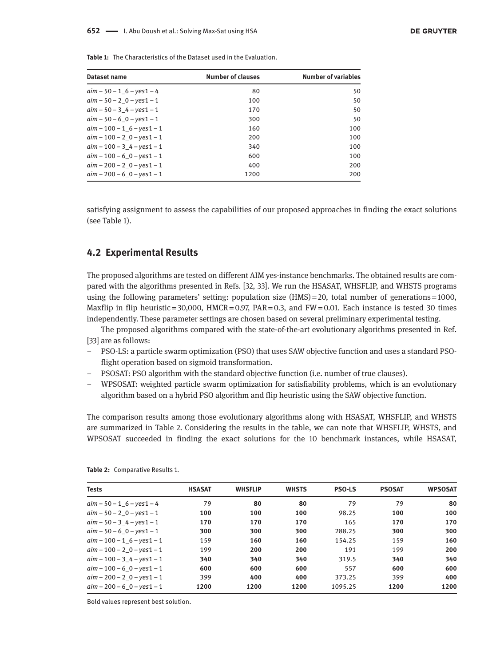| Dataset name                     | <b>Number of clauses</b> | <b>Number of variables</b> |  |
|----------------------------------|--------------------------|----------------------------|--|
| $aim - 50 - 1$ 6 - $ves1 - 4$    | 80                       | 50                         |  |
| $aim - 50 - 2 \ \ 0 - yes1 - 1$  | 100                      | 50                         |  |
| $aim - 50 - 3$ 4 - $ves1 - 1$    | 170                      | 50                         |  |
| $aim - 50 - 6$ 0 - $ves1 - 1$    | 300                      | 50                         |  |
| $aim - 100 - 1$ 6 - $ves1 - 1$   | 160                      | 100                        |  |
| $aim - 100 - 2_0 - yes1 - 1$     | 200                      | 100                        |  |
| $aim - 100 - 3$ 4 - $ves1 - 1$   | 340                      | 100                        |  |
| $aim - 100 - 6$ 0 - $ves1 - 1$   | 600                      | 100                        |  |
| $aim - 200 - 2 \ \ 0 - yes1 - 1$ | 400                      | 200                        |  |
| $aim - 200 - 6$ 0 - $ves1 - 1$   | 1200                     | 200                        |  |

**Table 1:** The Characteristics of the Dataset used in the Evaluation.

satisfying assignment to assess the capabilities of our proposed approaches in finding the exact solutions (see Table 1).

#### **4.2 Experimental Results**

The proposed algorithms are tested on different AIM yes-instance benchmarks. The obtained results are compared with the algorithms presented in Refs. [32, 33]. We run the HSASAT, WHSFLIP, and WHSTS programs using the following parameters' setting: population size  $(HMS) = 20$ , total number of generations = 1000, Maxflip in flip heuristic = 30,000, HMCR = 0.97, PAR = 0.3, and FW = 0.01. Each instance is tested 30 times independently. These parameter settings are chosen based on several preliminary experimental testing.

The proposed algorithms compared with the state-of-the-art evolutionary algorithms presented in Ref. [33] are as follows:

- PSO-LS: a particle swarm optimization (PSO) that uses SAW objective function and uses a standard PSOflight operation based on sigmoid transformation.
- PSOSAT: PSO algorithm with the standard objective function (i.e. number of true clauses).
- WPSOSAT: weighted particle swarm optimization for satisfiability problems, which is an evolutionary algorithm based on a hybrid PSO algorithm and flip heuristic using the SAW objective function.

The comparison results among those evolutionary algorithms along with HSASAT, WHSFLIP, and WHSTS are summarized in Table 2. Considering the results in the table, we can note that WHSFLIP, WHSTS, and WPSOSAT succeeded in finding the exact solutions for the 10 benchmark instances, while HSASAT,

| <b>Tests</b>                     | <b>HSASAT</b> | <b>WHSFLIP</b> | <b>WHSTS</b> | <b>PSO-LS</b> | <b>PSOSAT</b> | <b>WPSOSAT</b> |
|----------------------------------|---------------|----------------|--------------|---------------|---------------|----------------|
| $aim - 50 - 1_6 - yes1 - 4$      | 79            | 80             | 80           | 79            | 79            | 80             |
| $aim - 50 - 2_0 - yes1 - 1$      | 100           | 100            | 100          | 98.25         | 100           | 100            |
| $aim - 50 - 3_4 - yes1 - 1$      | 170           | 170            | 170          | 165           | 170           | 170            |
| $aim - 50 - 6_0 - yes1 - 1$      | 300           | 300            | 300          | 288.25        | 300           | 300            |
| $aim - 100 - 1_6 - yes1 - 1$     | 159           | 160            | 160          | 154.25        | 159           | 160            |
| $aim - 100 - 2 \ \ 0 - yes1 - 1$ | 199           | 200            | 200          | 191           | 199           | 200            |
| $aim - 100 - 3_4 - yes1 - 1$     | 340           | 340            | 340          | 319.5         | 340           | 340            |
| $aim - 100 - 6$ 0 - $ves1 - 1$   | 600           | 600            | 600          | 557           | 600           | 600            |
| $aim - 200 - 2 \ \ 0 - yes1 - 1$ | 399           | 400            | 400          | 373.25        | 399           | 400            |
| $aim - 200 - 6$ 0 - $ves1 - 1$   | 1200          | 1200           | 1200         | 1095.25       | 1200          | 1200           |

**Table 2:** Comparative Results 1.

Bold values represent best solution.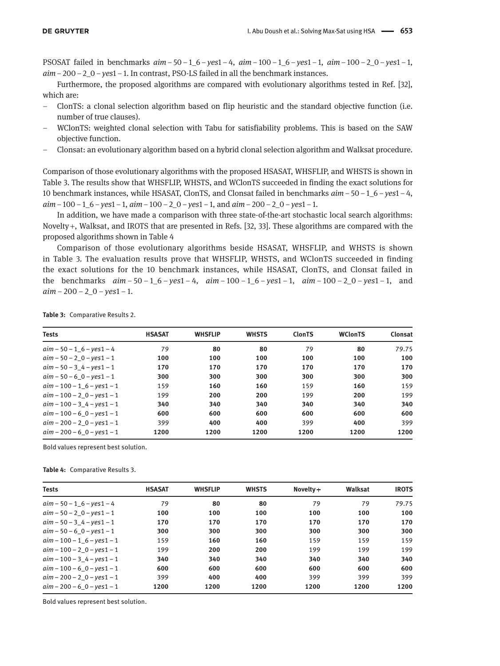PSOSAT failed in benchmarks *aim* − 50 − 1\_6 − *yes*1 − 4, *aim* − 100 − 1\_6 − *yes*1 − 1, *aim* − 100 − 2\_0 − *yes*1 − 1, *aim* − 200 − 2\_0 − *yes*1 − 1. In contrast, PSO-LS failed in all the benchmark instances.

Furthermore, the proposed algorithms are compared with evolutionary algorithms tested in Ref. [32], which are:

- ClonTS: a clonal selection algorithm based on flip heuristic and the standard objective function (i.e. number of true clauses).
- WClonTS: weighted clonal selection with Tabu for satisfiability problems. This is based on the SAW objective function.
- Clonsat: an evolutionary algorithm based on a hybrid clonal selection algorithm and Walksat procedure.

Comparison of those evolutionary algorithms with the proposed HSASAT, WHSFLIP, and WHSTS is shown in Table 3. The results show that WHSFLIP, WHSTS, and WClonTS succeeded in finding the exact solutions for 10 benchmark instances, while HSASAT, ClonTS, and Clonsat failed in benchmarks *aim* − 50 − 1\_6 − *yes*1 − 4, *aim* − 100 − 1\_6 − *yes*1 − 1, *aim* − 100 − 2\_0 − *yes*1 − 1, and *aim* − 200 − 2\_0 − *yes*1 − 1.

In addition, we have made a comparison with three state-of-the-art stochastic local search algorithms: Novelty +, Walksat, and IROTS that are presented in Refs. [32, 33]. These algorithms are compared with the proposed algorithms shown in Table 4

Comparison of those evolutionary algorithms beside HSASAT, WHSFLIP, and WHSTS is shown in Table 3. The evaluation results prove that WHSFLIP, WHSTS, and WClonTS succeeded in finding the exact solutions for the 10 benchmark instances, while HSASAT, ClonTS, and Clonsat failed in the benchmarks *aim* − 50 − 1\_6 − *yes*1 − 4, *aim* − 100 − 1\_6 − *yes*1 − 1, *aim* − 100 − 2\_0 − *yes*1 − 1, and *aim* − 200 − 2\_0 − *yes*1 − 1.

**Table 3:** Comparative Results 2.

| <b>Tests</b>                     | <b>HSASAT</b> | <b>WHSFLIP</b> | <b>WHSTS</b> | <b>ClonTS</b> | <b>WClonTS</b> | <b>Clonsat</b> |
|----------------------------------|---------------|----------------|--------------|---------------|----------------|----------------|
| $aim - 50 - 1_6 - yes1 - 4$      | 79            | 80             | 80           | 79            | 80             | 79.75          |
| $aim - 50 - 2 \ \ 0 - yes1 - 1$  | 100           | 100            | 100          | 100           | 100            | 100            |
| $aim - 50 - 3$ 4 - $ves1 - 1$    | 170           | 170            | 170          | 170           | 170            | 170            |
| $aim - 50 - 6$ 0 - $ves1 - 1$    | 300           | 300            | 300          | 300           | 300            | 300            |
| $aim - 100 - 1$ 6 - $ves1 - 1$   | 159           | 160            | 160          | 159           | 160            | 159            |
| $aim - 100 - 2 \ \ 0 - yes1 - 1$ | 199           | 200            | 200          | 199           | 200            | 199            |
| $aim - 100 - 3_4 - yes1 - 1$     | 340           | 340            | 340          | 340           | 340            | 340            |
| $aim - 100 - 6$ 0 - $ves1 - 1$   | 600           | 600            | 600          | 600           | 600            | 600            |
| $aim - 200 - 2_0 - yes1 - 1$     | 399           | 400            | 400          | 399           | 400            | 399            |
| $aim - 200 - 6$ 0 - $ves1 - 1$   | 1200          | 1200           | 1200         | 1200          | 1200           | 1200           |

Bold values represent best solution.

**Table 4:** Comparative Results 3.

| <b>Tests</b>                     | <b>HSASAT</b> | <b>WHSFLIP</b> | <b>WHSTS</b> | Novelty+ | Walksat | <b>IROTS</b> |
|----------------------------------|---------------|----------------|--------------|----------|---------|--------------|
| $aim - 50 - 1_6 - yes1 - 4$      | 79            | 80             | 80           | 79       | 79      | 79.75        |
| $aim - 50 - 2 \ \ 0 - yes1 - 1$  | 100           | 100            | 100          | 100      | 100     | 100          |
| $aim - 50 - 3$ 4 - $ves1 - 1$    | 170           | 170            | 170          | 170      | 170     | 170          |
| $aim - 50 - 6_0 - yes1 - 1$      | 300           | 300            | 300          | 300      | 300     | 300          |
| $aim - 100 - 1_6 - yes1 - 1$     | 159           | 160            | 160          | 159      | 159     | 159          |
| $aim - 100 - 2 \ \ 0 - yes1 - 1$ | 199           | 200            | 200          | 199      | 199     | 199          |
| $aim - 100 - 3_4 - yes1 - 1$     | 340           | 340            | 340          | 340      | 340     | 340          |
| $aim - 100 - 6$ 0 - $ves1 - 1$   | 600           | 600            | 600          | 600      | 600     | 600          |
| $aim - 200 - 2 \ \ 0 - yes1 - 1$ | 399           | 400            | 400          | 399      | 399     | 399          |
| $aim - 200 - 6$ 0 - $ves1 - 1$   | 1200          | 1200           | 1200         | 1200     | 1200    | 1200         |

Bold values represent best solution.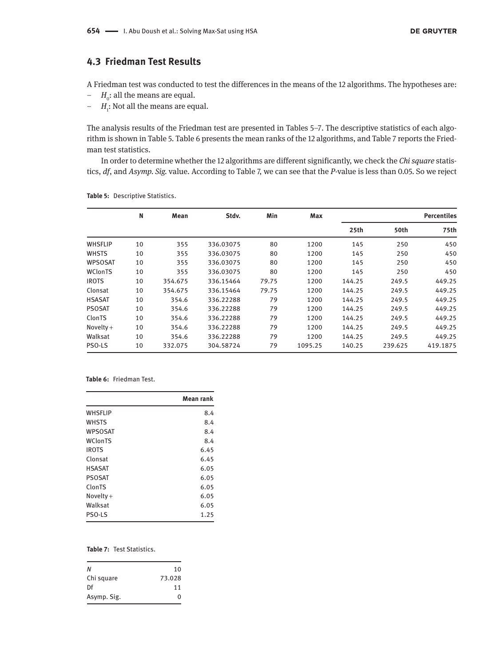### **4.3 Friedman Test Results**

A Friedman test was conducted to test the differences in the means of the 12 algorithms. The hypotheses are:

- $H_0$ : all the means are equal.
- *H*<sup>1</sup> : Not all the means are equal.

The analysis results of the Friedman test are presented in Tables 5–7. The descriptive statistics of each algorithm is shown in Table 5. Table 6 presents the mean ranks of the 12 algorithms, and Table 7 reports the Friedman test statistics.

In order to determine whether the 12 algorithms are different significantly, we check the *Chi square* statistics, *df*, and *Asymp. Sig.* value. According to Table 7, we can see that the *P*-value is less than 0.05. So we reject

|                | N  | Mean    | Stdv.     | Min   | Max     |        |         | <b>Percentiles</b> |  |
|----------------|----|---------|-----------|-------|---------|--------|---------|--------------------|--|
|                |    |         |           |       |         | 25th   | 50th    | 75th               |  |
| <b>WHSFLIP</b> | 10 | 355     | 336.03075 | 80    | 1200    | 145    | 250     | 450                |  |
| <b>WHSTS</b>   | 10 | 355     | 336.03075 | 80    | 1200    | 145    | 250     | 450                |  |
| <b>WPSOSAT</b> | 10 | 355     | 336.03075 | 80    | 1200    | 145    | 250     | 450                |  |
| WClonTS        | 10 | 355     | 336.03075 | 80    | 1200    | 145    | 250     | 450                |  |
| <b>IROTS</b>   | 10 | 354.675 | 336.15464 | 79.75 | 1200    | 144.25 | 249.5   | 449.25             |  |
| Clonsat        | 10 | 354.675 | 336.15464 | 79.75 | 1200    | 144.25 | 249.5   | 449.25             |  |
| <b>HSASAT</b>  | 10 | 354.6   | 336.22288 | 79    | 1200    | 144.25 | 249.5   | 449.25             |  |
| <b>PSOSAT</b>  | 10 | 354.6   | 336.22288 | 79    | 1200    | 144.25 | 249.5   | 449.25             |  |
| ClonTS         | 10 | 354.6   | 336.22288 | 79    | 1200    | 144.25 | 249.5   | 449.25             |  |
| Novelty $+$    | 10 | 354.6   | 336.22288 | 79    | 1200    | 144.25 | 249.5   | 449.25             |  |
| Walksat        | 10 | 354.6   | 336.22288 | 79    | 1200    | 144.25 | 249.5   | 449.25             |  |
| PSO-LS         | 10 | 332.075 | 304.58724 | 79    | 1095.25 | 140.25 | 239.625 | 419.1875           |  |

**Table 5:** Descriptive Statistics.

**Table 6:** Friedman Test.

|                | Mean rank |
|----------------|-----------|
| <b>WHSFLIP</b> | 8.4       |
| <b>WHSTS</b>   | 8.4       |
| <b>WPSOSAT</b> | 8.4       |
| WClonTS        | 8.4       |
| <b>IROTS</b>   | 6.45      |
| Clonsat        | 6.45      |
| <b>HSASAT</b>  | 6.05      |
| <b>PSOSAT</b>  | 6.05      |
| ClonTS         | 6.05      |
| Novelty $+$    | 6.05      |
| Walksat        | 6.05      |
| PSO-LS         | 1.25      |

#### **Table 7:** Test Statistics.

| N           | 10     |
|-------------|--------|
| Chi square  | 73.028 |
| Df          | 11     |
| Asymp. Sig. | O      |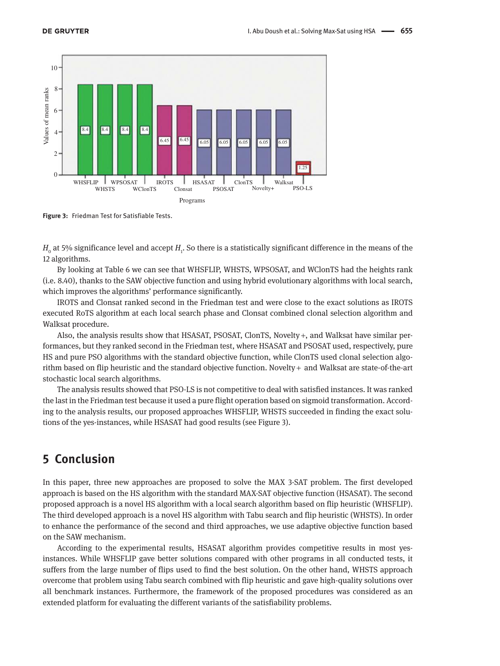

**Figure 3:** Friedman Test for Satisfiable Tests.

 $H_{_0}$  at 5% significance level and accept  $H_{_1}$ . So there is a statistically significant difference in the means of the 12 algorithms.

By looking at Table 6 we can see that WHSFLIP, WHSTS, WPSOSAT, and WClonTS had the heights rank (i.e. 8.40), thanks to the SAW objective function and using hybrid evolutionary algorithms with local search, which improves the algorithms' performance significantly.

IROTS and Clonsat ranked second in the Friedman test and were close to the exact solutions as IROTS executed RoTS algorithm at each local search phase and Clonsat combined clonal selection algorithm and Walksat procedure.

Also, the analysis results show that HSASAT, PSOSAT, ClonTS, Novelty +, and Walksat have similar performances, but they ranked second in the Friedman test, where HSASAT and PSOSAT used, respectively, pure HS and pure PSO algorithms with the standard objective function, while ClonTS used clonal selection algorithm based on flip heuristic and the standard objective function. Novelty +  and Walksat are state-of-the-art stochastic local search algorithms.

The analysis results showed that PSO-LS is not competitive to deal with satisfied instances. It was ranked the last in the Friedman test because it used a pure flight operation based on sigmoid transformation. According to the analysis results, our proposed approaches WHSFLIP, WHSTS succeeded in finding the exact solutions of the yes-instances, while HSASAT had good results (see Figure 3).

### **5 Conclusion**

In this paper, three new approaches are proposed to solve the MAX 3-SAT problem. The first developed approach is based on the HS algorithm with the standard MAX-SAT objective function (HSASAT). The second proposed approach is a novel HS algorithm with a local search algorithm based on flip heuristic (WHSFLIP). The third developed approach is a novel HS algorithm with Tabu search and flip heuristic (WHSTS). In order to enhance the performance of the second and third approaches, we use adaptive objective function based on the SAW mechanism.

According to the experimental results, HSASAT algorithm provides competitive results in most yesinstances. While WHSFLIP gave better solutions compared with other programs in all conducted tests, it suffers from the large number of flips used to find the best solution. On the other hand, WHSTS approach overcome that problem using Tabu search combined with flip heuristic and gave high-quality solutions over all benchmark instances. Furthermore, the framework of the proposed procedures was considered as an extended platform for evaluating the different variants of the satisfiability problems.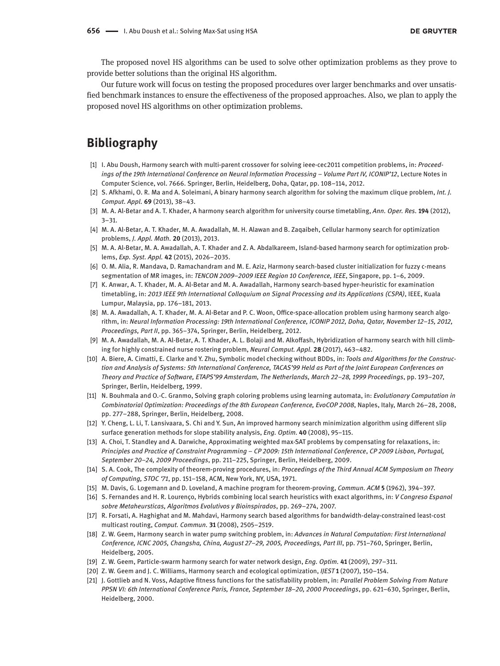The proposed novel HS algorithms can be used to solve other optimization problems as they prove to provide better solutions than the original HS algorithm.

Our future work will focus on testing the proposed procedures over larger benchmarks and over unsatisfied benchmark instances to ensure the effectiveness of the proposed approaches. Also, we plan to apply the proposed novel HS algorithms on other optimization problems.

### **Bibliography**

- [1] I. Abu Doush, Harmony search with multi-parent crossover for solving ieee-cec2011 competition problems, in: *Proceedings of the 19th International Conference on Neural Information Processing – Volume Part IV, ICONIP'12*, Lecture Notes in Computer Science, vol. 7666. Springer, Berlin, Heidelberg, Doha, Qatar, pp. 108–114, 2012.
- [2] S. Afkhami, O. R. Ma and A. Soleimani, A binary harmony search algorithm for solving the maximum clique problem, *Int. J. Comput. Appl.* **69** (2013), 38–43.
- [3] M. A. Al-Betar and A. T. Khader, A harmony search algorithm for university course timetabling, *Ann. Oper. Res.* **194** (2012), 3–31.
- [4] M. A. Al-Betar, A. T. Khader, M. A. Awadallah, M. H. Alawan and B. Zaqaibeh, Cellular harmony search for optimization problems, *J. Appl. Math.* **20** (2013), 2013.
- [5] M. A. Al-Betar, M. A. Awadallah, A. T. Khader and Z. A. Abdalkareem, Island-based harmony search for optimization problems, *Exp. Syst. Appl.* **42** (2015), 2026–2035.
- [6] O. M. Alia, R. Mandava, D. Ramachandram and M. E. Aziz, Harmony search-based cluster initialization for fuzzy c-means segmentation of MR images, in: *TENCON 2009–2009 IEEE Region 10 Conference, IEEE*, Singapore, pp. 1–6, 2009.
- [7] K. Anwar, A. T. Khader, M. A. Al-Betar and M. A. Awadallah, Harmony search-based hyper-heuristic for examination timetabling, in: *2013 IEEE 9th International Colloquium on Signal Processing and its Applications (CSPA)*, IEEE, Kuala Lumpur, Malaysia, pp. 176–181, 2013.
- [8] M. A. Awadallah, A. T. Khader, M. A. Al-Betar and P. C. Woon, Office-space-allocation problem using harmony search algorithm, in: *Neural Information Processing: 19th International Conference, ICONIP 2012, Doha, Qatar, November 12–15, 2012, Proceedings, Part II*, pp. 365–374, Springer, Berlin, Heidelberg, 2012.
- [9] M. A. Awadallah, M. A. Al-Betar, A. T. Khader, A. L. Bolaji and M. Alkoffash, Hybridization of harmony search with hill climbing for highly constrained nurse rostering problem, *Neural Comput. Appl.* **28** (2017), 463–482.
- [10] A. Biere, A. Cimatti, E. Clarke and Y. Zhu, Symbolic model checking without BDDs, in: *Tools and Algorithms for the Construction and Analysis of Systems: 5th International Conference, TACAS'99 Held as Part of the Joint European Conferences on Theory and Practice of Software, ETAPS'99 Amsterdam, The Netherlands, March 22–28, 1999 Proceedings*, pp. 193–207, Springer, Berlin, Heidelberg, 1999.
- [11] N. Bouhmala and O.-C. Granmo, Solving graph coloring problems using learning automata, in: *Evolutionary Computation in Combinatorial Optimization: Proceedings of the 8th European Conference, EvoCOP 2008*, Naples, Italy, March 26–28, 2008, pp. 277–288, Springer, Berlin, Heidelberg, 2008.
- [12] Y. Cheng, L. Li, T. Lansivaara, S. Chi and Y. Sun, An improved harmony search minimization algorithm using different slip surface generation methods for slope stability analysis, *Eng. Optim.* **40** (2008), 95–115.
- [13] A. Choi, T. Standley and A. Darwiche, Approximating weighted max-SAT problems by compensating for relaxations, in: *Principles and Practice of Constraint Programming – CP 2009: 15th International Conference*, *CP 2009 Lisbon, Portugal, September 20–24, 2009 Proceedings*, pp. 211–225, Springer, Berlin, Heidelberg, 2009.
- [14] S. A. Cook, The complexity of theorem-proving procedures, in: *Proceedings of the Third Annual ACM Symposium on Theory of Computing, STOC '71*, pp. 151–158, ACM, New York, NY, USA, 1971.
- [15] M. Davis, G. Logemann and D. Loveland, A machine program for theorem-proving, *Commun. ACM* **5** (1962), 394–397.
- [16] S. Fernandes and H. R. Lourenço, Hybrids combining local search heuristics with exact algorithms, in: *V Congreso Espanol sobre Metaheursticas, Algoritmos Evolutivos y Bioinspirados*, pp. 269–274, 2007.
- [17] R. Forsati, A. Haghighat and M. Mahdavi, Harmony search based algorithms for bandwidth-delay-constrained least-cost multicast routing, *Comput. Commun.* **31** (2008), 2505–2519.
- [18] Z. W. Geem, Harmony search in water pump switching problem, in: *Advances in Natural Computation: First International Conference, ICNC 2005, Changsha, China, August 27–29, 2005, Proceedings, Part III*, pp. 751–760, Springer, Berlin, Heidelberg, 2005.
- [19] Z. W. Geem, Particle-swarm harmony search for water network design, *Eng. Optim.* **41** (2009), 297–311.
- [20] Z. W. Geem and J. C. Williams, Harmony search and ecological optimization, *IJEST* **1** (2007), 150–154.
- [21] J. Gottlieb and N. Voss, Adaptive fitness functions for the satisfiability problem, in: *Parallel Problem Solving From Nature PPSN VI: 6th International Conference Paris, France, September 18–20, 2000 Proceedings*, pp. 621–630, Springer, Berlin, Heidelberg, 2000.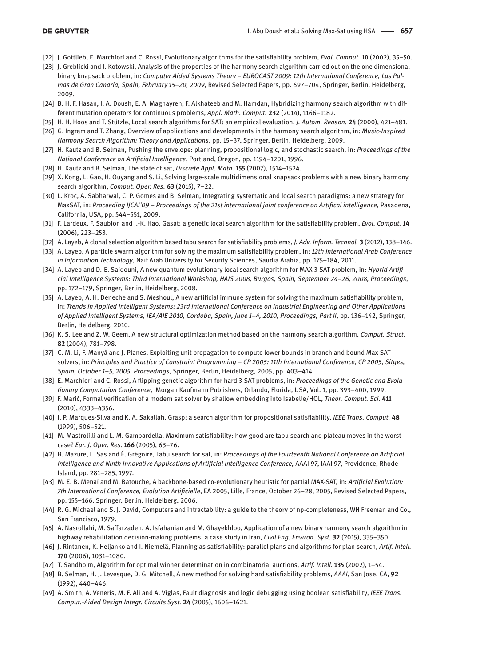- [22] J. Gottlieb, E. Marchiori and C. Rossi, Evolutionary algorithms for the satisfiability problem, *Evol. Comput.* **10** (2002), 35–50.
- [23] J. Greblicki and J. Kotowski, Analysis of the properties of the harmony search algorithm carried out on the one dimensional binary knapsack problem, in: *Computer Aided Systems Theory – EUROCAST 2009: 12th International Conference, Las Palmas de Gran Canaria, Spain, February 15–20, 2009*, Revised Selected Papers, pp. 697–704, Springer, Berlin, Heidelberg, 2009.
- [24] B. H. F. Hasan, I. A. Doush, E. A. Maghayreh, F. Alkhateeb and M. Hamdan, Hybridizing harmony search algorithm with different mutation operators for continuous problems, *Appl. Math. Comput.* **232** (2014), 1166–1182.
- [25] H. H. Hoos and T. Stützle, Local search algorithms for SAT: an empirical evaluation, *J. Autom. Reason.* **24** (2000), 421–481.
- [26] G. Ingram and T. Zhang, Overview of applications and developments in the harmony search algorithm, in: *Music-Inspired Harmony Search Algorithm: Theory and Applications*, pp. 15–37, Springer, Berlin, Heidelberg, 2009.
- [27] H. Kautz and B. Selman, Pushing the envelope: planning, propositional logic, and stochastic search, in: *Proceedings of the National Conference on Artificial Intelligence*, Portland, Oregon, pp. 1194–1201, 1996.
- [28] H. Kautz and B. Selman, The state of sat, *Discrete Appl. Math.* **155** (2007), 1514–1524.
- [29] X. Kong, L. Gao, H. Ouyang and S. Li, Solving large-scale multidimensional knapsack problems with a new binary harmony search algorithm, *Comput. Oper. Res.* **63** (2015), 7–22.
- [30] L. Kroc, A. Sabharwal, C. P. Gomes and B. Selman, Integrating systematic and local search paradigms: a new strategy for MaxSAT, in: *Proceeding IJCAI'09 – Proceedings of the 21st international joint conference on Artifical intelligence*, Pasadena, California, USA, pp. 544–551, 2009.
- [31] F. Lardeux, F. Saubion and J.-K. Hao, Gasat: a genetic local search algorithm for the satisfiability problem, *Evol. Comput.* **14** (2006), 223–253.
- [32] A. Layeb, A clonal selection algorithm based tabu search for satisfiability problems, *J. Adv. Inform. Technol.* **3** (2012), 138–146.
- [33] A. Layeb, A particle swarm algorithm for solving the maximum satisfiability problem, in: *12th International Arab Conference in Information Technology*, Naif Arab University for Security Sciences, Saudia Arabia, pp. 175–184, 2011.
- [34] A. Layeb and D.-E. Saidouni, A new quantum evolutionary local search algorithm for MAX 3-SAT problem, in: *Hybrid Artificial Intelligence Systems: Third International Workshop, HAIS 2008, Burgos, Spain, September 24–26, 2008, Proceedings*, pp. 172–179, Springer, Berlin, Heidelberg, 2008.
- [35] A. Layeb, A. H. Deneche and S. Meshoul, A new artificial immune system for solving the maximum satisfiability problem, in: *Trends in Applied Intelligent Systems: 23rd International Conference on Industrial Engineering and Other Applications of Applied Intelligent Systems, IEA/AIE 2010, Cordoba, Spain, June 1–4, 2010, Proceedings, Part II*, pp. 136–142, Springer, Berlin, Heidelberg, 2010.
- [36] K. S. Lee and Z. W. Geem, A new structural optimization method based on the harmony search algorithm, *Comput. Struct.* **82** (2004), 781–798.
- [37] C. M. Li, F. Manyà and J. Planes, Exploiting unit propagation to compute lower bounds in branch and bound Max-SAT solvers, in: *Principles and Practice of Constraint Programming – CP 2005: 11th International Conference, CP 2005, Sitges, Spain, October 1–5, 2005. Proceedings*, Springer, Berlin, Heidelberg, 2005, pp. 403–414.
- [38] E. Marchiori and C. Rossi, A flipping genetic algorithm for hard 3-SAT problems, in: *Proceedings of the Genetic and Evolutionary Computation Conference*, Morgan Kaufmann Publishers, Orlando, Florida, USA, Vol. 1, pp. 393–400, 1999.
- [39] F. Marić, Formal verification of a modern sat solver by shallow embedding into Isabelle/HOL, *Theor. Comput. Sci.* **411** (2010), 4333–4356.
- [40] J. P. Marques-Silva and K. A. Sakallah, Grasp: a search algorithm for propositional satisfiability, *IEEE Trans. Comput.* **48** (1999), 506–521.
- [41] M. Mastrolilli and L. M. Gambardella, Maximum satisfiability: how good are tabu search and plateau moves in the worstcase? *Eur. J. Oper. Res.* **166** (2005), 63–76.
- [42] B. Mazure, L. Sas and É. Grégoire, Tabu search for sat, in: *Proceedings of the Fourteenth National Conference on Artificial Intelligence and Ninth Innovative Applications of Artificial Intelligence Conference,* AAAI 97, IAAI 97, Providence, Rhode Island, pp. 281–285, 1997.
- [43] M. E. B. Menaï and M. Batouche, A backbone-based co-evolutionary heuristic for partial MAX-SAT, in: *Artificial Evolution: 7th International Conference, Evolution Artificielle*, EA 2005, Lille, France, October 26–28, 2005, Revised Selected Papers, pp. 155–166, Springer, Berlin, Heidelberg, 2006.
- [44] R. G. Michael and S. J. David, Computers and intractability: a guide to the theory of np-completeness, WH Freeman and Co., San Francisco, 1979.
- [45] A. Nasrollahi, M. Saffarzadeh, A. Isfahanian and M. Ghayekhloo, Application of a new binary harmony search algorithm in highway rehabilitation decision-making problems: a case study in Iran, *Civil Eng. Environ. Syst.* **32** (2015), 335–350.
- [46] J. Rintanen, K. Heljanko and I. Niemelä, Planning as satisfiability: parallel plans and algorithms for plan search, *Artif. Intell.* **170** (2006), 1031–1080.
- [47] T. Sandholm, Algorithm for optimal winner determination in combinatorial auctions, *Artif. Intell.* **135** (2002), 1–54.
- [48] B. Selman, H. J. Levesque, D. G. Mitchell, A new method for solving hard satisfiability problems, *AAAI*, San Jose, CA, **92** (1992), 440–446.
- [49] A. Smith, A. Veneris, M. F. Ali and A. Viglas, Fault diagnosis and logic debugging using boolean satisfiability, *IEEE Trans. Comput.-Aided Design Integr. Circuits Syst.* **24** (2005), 1606–1621.